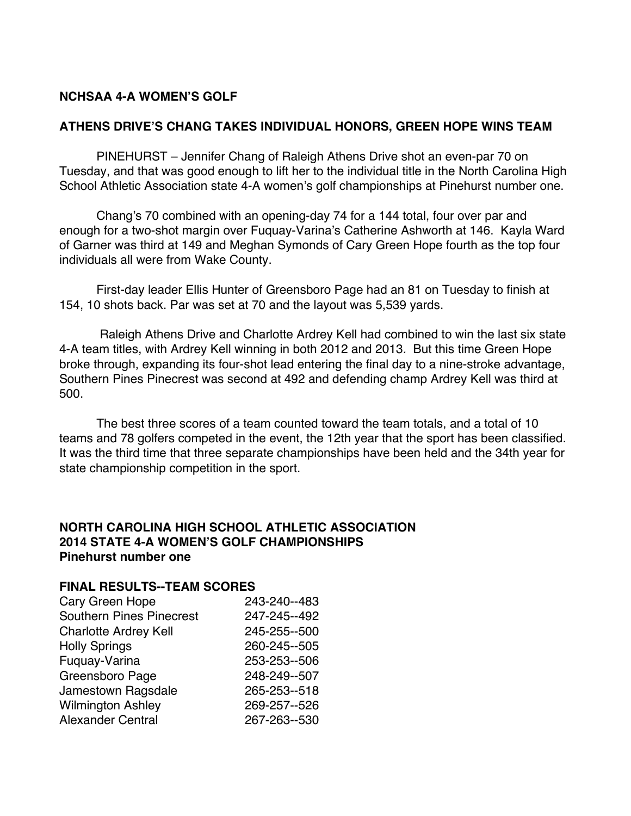## **NCHSAA 4-A WOMEN'S GOLF**

### **ATHENS DRIVE'S CHANG TAKES INDIVIDUAL HONORS, GREEN HOPE WINS TEAM**

PINEHURST – Jennifer Chang of Raleigh Athens Drive shot an even-par 70 on Tuesday, and that was good enough to lift her to the individual title in the North Carolina High School Athletic Association state 4-A women's golf championships at Pinehurst number one.

Chang's 70 combined with an opening-day 74 for a 144 total, four over par and enough for a two-shot margin over Fuquay-Varina's Catherine Ashworth at 146. Kayla Ward of Garner was third at 149 and Meghan Symonds of Cary Green Hope fourth as the top four individuals all were from Wake County.

First-day leader Ellis Hunter of Greensboro Page had an 81 on Tuesday to finish at 154, 10 shots back. Par was set at 70 and the layout was 5,539 yards.

Raleigh Athens Drive and Charlotte Ardrey Kell had combined to win the last six state 4-A team titles, with Ardrey Kell winning in both 2012 and 2013*.* But this time Green Hope broke through, expanding its four-shot lead entering the final day to a nine-stroke advantage, Southern Pines Pinecrest was second at 492 and defending champ Ardrey Kell was third at 500.

The best three scores of a team counted toward the team totals, and a total of 10 teams and 78 golfers competed in the event, the 12th year that the sport has been classified. It was the third time that three separate championships have been held and the 34th year for state championship competition in the sport.

#### **NORTH CAROLINA HIGH SCHOOL ATHLETIC ASSOCIATION 2014 STATE 4-A WOMEN'S GOLF CHAMPIONSHIPS Pinehurst number one**

### **FINAL RESULTS--TEAM SCORES**

| 243-240--483 |
|--------------|
| 247-245--492 |
| 245-255--500 |
| 260-245--505 |
| 253-253--506 |
| 248-249--507 |
| 265-253--518 |
| 269-257--526 |
| 267-263--530 |
|              |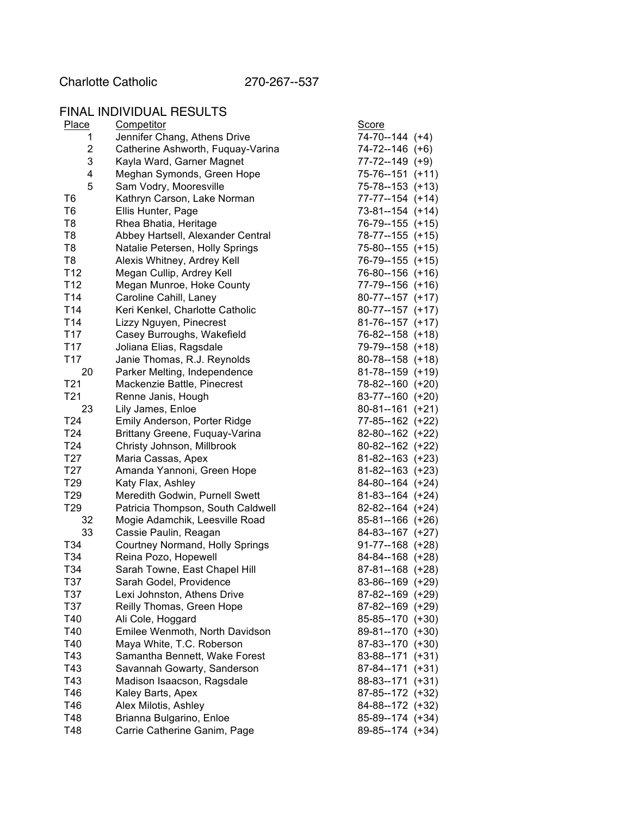Charlotte Catholic 270-267--537

# FINAL INDIVIDUAL RESULTS

| Place           | Competitor                        | <b>Score</b>         |
|-----------------|-----------------------------------|----------------------|
| 1               | Jennifer Chang, Athens Drive      | 74-70--144 (+4)      |
| 2               | Catherine Ashworth, Fuquay-Varina | 74-72--146 (+6)      |
| 3               | Kayla Ward, Garner Magnet         | $77 - 72 - 149$ (+9) |
| 4               | Meghan Symonds, Green Hope        | 75-76--151 (+11)     |
| 5               | Sam Vodry, Mooresville            | 75-78--153 (+13)     |
| T6              | Kathryn Carson, Lake Norman       | 77-77--154 (+14)     |
| T6              | Ellis Hunter, Page                | 73-81--154 (+14)     |
| T8              | Rhea Bhatia, Heritage             | 76-79--155 (+15)     |
| T8              | Abbey Hartsell, Alexander Central | 78-77--155 (+15)     |
| T8              | Natalie Petersen, Holly Springs   | 75-80--155 (+15)     |
| T8              | Alexis Whitney, Ardrey Kell       | 76-79--155 (+15)     |
| T12             | Megan Cullip, Ardrey Kell         | 76-80--156 (+16)     |
| T <sub>12</sub> | Megan Munroe, Hoke County         | 77-79--156 (+16)     |
| T <sub>14</sub> | Caroline Cahill, Laney            | 80-77--157 (+17)     |
| T <sub>14</sub> | Keri Kenkel, Charlotte Catholic   | 80-77--157 (+17)     |
| T14             | Lizzy Nguyen, Pinecrest           | $81-76-157$ (+17)    |
| T17             | Casey Burroughs, Wakefield        | 76-82--158 (+18)     |
| T <sub>17</sub> | Joliana Elias, Ragsdale           | 79-79--158 (+18)     |
| T <sub>17</sub> | Janie Thomas, R.J. Reynolds       | $80-78-158$ (+18)    |
| 20              | Parker Melting, Independence      | 81-78--159 (+19)     |
| T <sub>21</sub> | Mackenzie Battle, Pinecrest       | 78-82--160 (+20)     |
| T21             | Renne Janis, Hough                | 83-77--160 (+20)     |
| 23              | Lily James, Enloe                 | 80-81--161 (+21)     |
| T <sub>24</sub> | Emily Anderson, Porter Ridge      | 77-85--162 (+22)     |
| T24             |                                   | 82-80--162 (+22)     |
|                 | Brittany Greene, Fuquay-Varina    | 80-82--162 (+22)     |
| T24             | Christy Johnson, Millbrook        |                      |
| T27             | Maria Cassas, Apex                | $81-82-163$ (+23)    |
| T27             | Amanda Yannoni, Green Hope        | 81-82--163 (+23)     |
| T <sub>29</sub> | Katy Flax, Ashley                 | 84-80--164 (+24)     |
| T <sub>29</sub> | Meredith Godwin, Purnell Swett    | $81-83-164$ (+24)    |
| T29             | Patricia Thompson, South Caldwell | 82-82--164 (+24)     |
| 32              | Mogie Adamchik, Leesville Road    | 85-81--166 (+26)     |
| 33              | Cassie Paulin, Reagan             | 84-83--167 (+27)     |
| T34             | Courtney Normand, Holly Springs   | $91-77-168$ (+28)    |
| T34             | Reina Pozo, Hopewell              | 84-84--168 (+28)     |
| T34             | Sarah Towne, East Chapel Hill     | 87-81--168 (+28)     |
| T37             | Sarah Godel, Providence           | 83-86--169 (+29)     |
| T37             | Lexi Johnston, Athens Drive       | 87-82--169 (+29)     |
| T37             | Reilly Thomas, Green Hope         | 87-82--169 (+29)     |
| T40             | Ali Cole, Hoggard                 | 85-85--170 (+30)     |
| T40             | Emilee Wenmoth, North Davidson    | 89-81--170 (+30)     |
| T40             | Maya White, T.C. Roberson         | 87-83--170 (+30)     |
| T43             | Samantha Bennett, Wake Forest     | 83-88--171 (+31)     |
| T43             | Savannah Gowarty, Sanderson       | 87-84--171 (+31)     |
| T43             | Madison Isaacson, Ragsdale        | 88-83--171 (+31)     |
| T46             | Kaley Barts, Apex                 | 87-85--172 (+32)     |
| T46             | Alex Milotis, Ashley              | 84-88--172 (+32)     |
| T48             | Brianna Bulgarino, Enloe          | 85-89--174 (+34)     |
| T48             | Carrie Catherine Ganim, Page      | 89-85--174 (+34)     |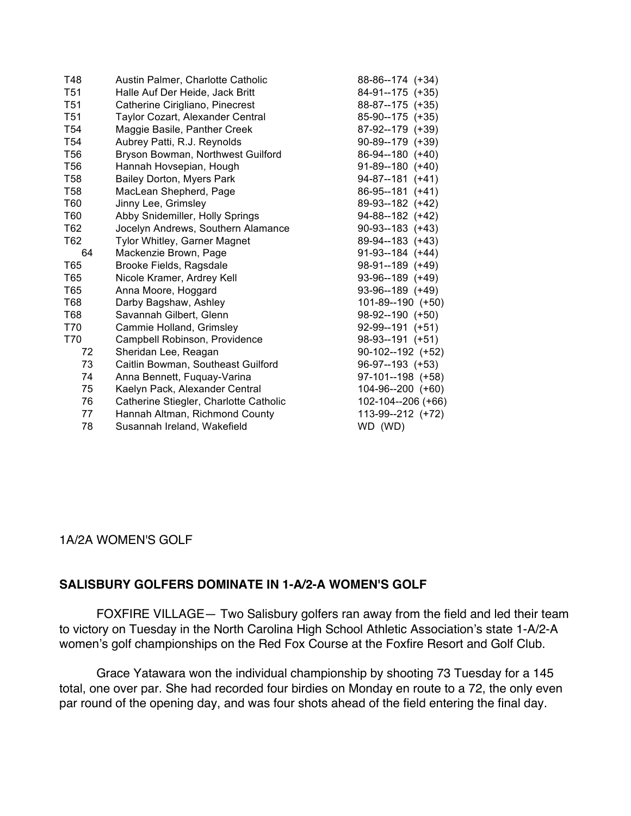| T48             | Austin Palmer, Charlotte Catholic      | 88-86--174 (+34)      |
|-----------------|----------------------------------------|-----------------------|
| T <sub>51</sub> | Halle Auf Der Heide, Jack Britt        | 84-91--175 (+35)      |
| T <sub>51</sub> | Catherine Cirigliano, Pinecrest        | 88-87--175 (+35)      |
| T <sub>51</sub> | Taylor Cozart, Alexander Central       | 85-90--175 (+35)      |
| T <sub>54</sub> | Maggie Basile, Panther Creek           | 87-92--179 (+39)      |
| T <sub>54</sub> | Aubrey Patti, R.J. Reynolds            | 90-89--179 (+39)      |
| T <sub>56</sub> | Bryson Bowman, Northwest Guilford      | 86-94--180 (+40)      |
| T <sub>56</sub> | Hannah Hovsepian, Hough                | $91-89-180 (+40)$     |
| T58             | Bailey Dorton, Myers Park              | $94-87-181$ (+41)     |
| <b>T58</b>      | MacLean Shepherd, Page                 | 86-95--181 (+41)      |
| T60             | Jinny Lee, Grimsley                    | 89-93--182 (+42)      |
| T60             | Abby Snidemiller, Holly Springs        | $94 - 88 - 182$ (+42) |
| T62             | Jocelyn Andrews, Southern Alamance     | $90-93-183 (+43)$     |
| T62             | Tylor Whitley, Garner Magnet           | 89-94--183 (+43)      |
| 64              | Mackenzie Brown, Page                  | $91-93-184 (+44)$     |
| T65             | Brooke Fields, Ragsdale                | 98-91--189 (+49)      |
| T65             | Nicole Kramer, Ardrey Kell             | $93-96-189$ (+49)     |
| T65             | Anna Moore, Hoggard                    | $93-96-189$ (+49)     |
| T68             | Darby Bagshaw, Ashley                  | 101-89--190 (+50)     |
| T68             | Savannah Gilbert, Glenn                | $98-92-190 (+50)$     |
| T70             | Cammie Holland, Grimsley               | $92-99-191$ (+51)     |
| T70             | Campbell Robinson, Providence          | $98-93-191 (+51)$     |
| 72              | Sheridan Lee, Reagan                   | $90-102-192$ (+52)    |
| 73              | Caitlin Bowman, Southeast Guilford     | 96-97--193 (+53)      |
| 74              | Anna Bennett, Fuquay-Varina            | 97-101--198 (+58)     |
| 75              | Kaelyn Pack, Alexander Central         | 104-96--200 (+60)     |
| 76              | Catherine Stiegler, Charlotte Catholic | 102-104--206 (+66)    |
| 77              | Hannah Altman, Richmond County         | 113-99--212 (+72)     |
| 78              | Susannah Ireland, Wakefield            | WD (WD)               |

### 1A/2A WOMEN'S GOLF

### **SALISBURY GOLFERS DOMINATE IN 1-A/2-A WOMEN'S GOLF**

FOXFIRE VILLAGE— Two Salisbury golfers ran away from the field and led their team to victory on Tuesday in the North Carolina High School Athletic Association's state 1-A/2-A women's golf championships on the Red Fox Course at the Foxfire Resort and Golf Club.

Grace Yatawara won the individual championship by shooting 73 Tuesday for a 145 total, one over par. She had recorded four birdies on Monday en route to a 72, the only even par round of the opening day, and was four shots ahead of the field entering the final day.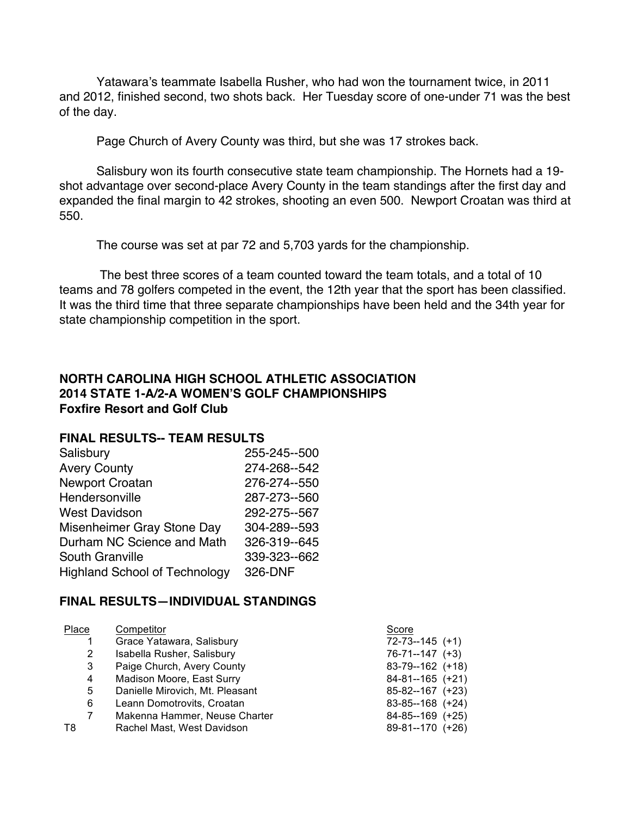Yatawara's teammate Isabella Rusher, who had won the tournament twice, in 2011 and 2012, finished second, two shots back. Her Tuesday score of one-under 71 was the best of the day.

Page Church of Avery County was third, but she was 17 strokes back.

Salisbury won its fourth consecutive state team championship. The Hornets had a 19 shot advantage over second-place Avery County in the team standings after the first day and expanded the final margin to 42 strokes, shooting an even 500. Newport Croatan was third at 550.

The course was set at par 72 and 5,703 yards for the championship.

The best three scores of a team counted toward the team totals, and a total of 10 teams and 78 golfers competed in the event, the 12th year that the sport has been classified. It was the third time that three separate championships have been held and the 34th year for state championship competition in the sport.

## **NORTH CAROLINA HIGH SCHOOL ATHLETIC ASSOCIATION 2014 STATE 1-A/2-A WOMEN'S GOLF CHAMPIONSHIPS Foxfire Resort and Golf Club**

#### **FINAL RESULTS-- TEAM RESULTS**

| Salisbury                            | 255-245--500 |
|--------------------------------------|--------------|
| <b>Avery County</b>                  | 274-268--542 |
| <b>Newport Croatan</b>               | 276-274--550 |
| Hendersonville                       | 287-273--560 |
| <b>West Davidson</b>                 | 292-275--567 |
| Misenheimer Gray Stone Day           | 304-289--593 |
| Durham NC Science and Math           | 326-319--645 |
| South Granville                      | 339-323--662 |
| <b>Highland School of Technology</b> | 326-DNF      |

### **FINAL RESULTS—INDIVIDUAL STANDINGS**

| Place | Competitor                      | Score              |
|-------|---------------------------------|--------------------|
|       | Grace Yatawara, Salisbury       | $72-73-145$ (+1)   |
| 2     | Isabella Rusher, Salisbury      | $76-71-147$ $(+3)$ |
| 3     | Paige Church, Avery County      | 83-79--162 (+18)   |
| 4     | Madison Moore, East Surry       | $84-81-165$ (+21)  |
| 5     | Danielle Mirovich, Mt. Pleasant | 85-82--167 (+23)   |
| 6     | Leann Domotrovits, Croatan      | 83-85--168 (+24)   |
| 7     | Makenna Hammer, Neuse Charter   | 84-85--169 (+25)   |
| T8    | Rachel Mast, West Davidson      | 89-81--170 (+26)   |
|       |                                 |                    |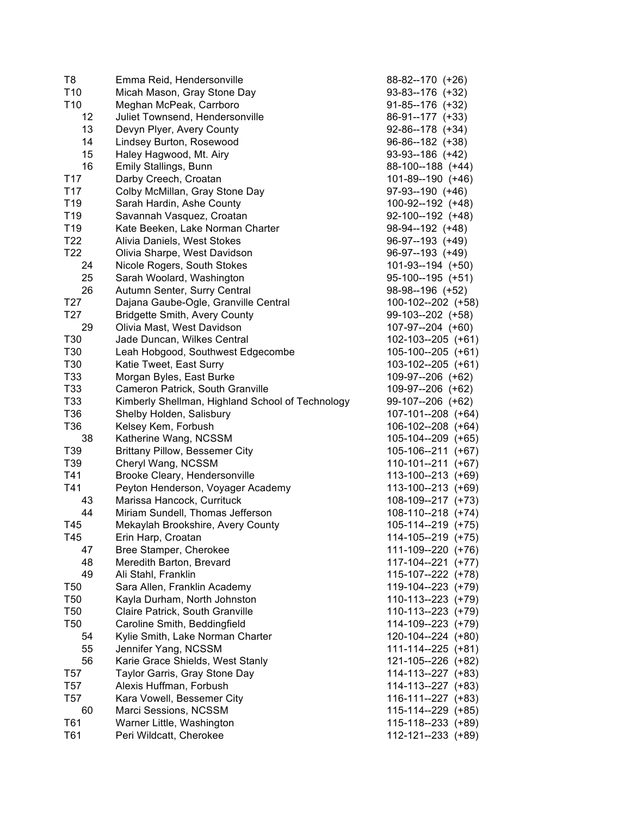| T8              | Emma Reid, Hendersonville                        | 88-82--170 (+26)   |
|-----------------|--------------------------------------------------|--------------------|
| T <sub>10</sub> | Micah Mason, Gray Stone Day                      | 93-83--176 (+32)   |
| T <sub>10</sub> | Meghan McPeak, Carrboro                          | $91-85-176$ (+32)  |
| 12              | Juliet Townsend, Hendersonville                  | 86-91--177 (+33)   |
| 13              | Devyn Plyer, Avery County                        | 92-86--178 (+34)   |
| 14              | Lindsey Burton, Rosewood                         | 96-86--182 (+38)   |
| 15              | Haley Hagwood, Mt. Airy                          | 93-93--186 (+42)   |
| 16              | Emily Stallings, Bunn                            | 88-100--188 (+44)  |
| T17             | Darby Creech, Croatan                            | 101-89--190 (+46)  |
| T <sub>17</sub> | Colby McMillan, Gray Stone Day                   | 97-93--190 (+46)   |
| T <sub>19</sub> | Sarah Hardin, Ashe County                        | 100-92--192 (+48)  |
| T <sub>19</sub> | Savannah Vasquez, Croatan                        | 92-100--192 (+48)  |
| T <sub>19</sub> | Kate Beeken, Lake Norman Charter                 | 98-94--192 (+48)   |
| T <sub>22</sub> | Alivia Daniels, West Stokes                      | 96-97--193 (+49)   |
| T <sub>22</sub> | Olivia Sharpe, West Davidson                     | 96-97--193 (+49)   |
| 24              | Nicole Rogers, South Stokes                      | $101-93-194$ (+50) |
| 25              | Sarah Woolard, Washington                        | 95-100--195 (+51)  |
| 26              | Autumn Senter, Surry Central                     | 98-98--196 (+52)   |
|                 |                                                  | 100-102--202 (+58) |
| T <sub>27</sub> | Dajana Gaube-Ogle, Granville Central             |                    |
| T27             | <b>Bridgette Smith, Avery County</b>             | 99-103--202 (+58)  |
| 29              | Olivia Mast, West Davidson                       | 107-97--204 (+60)  |
| T30             | Jade Duncan, Wilkes Central                      | 102-103--205 (+61) |
| T30             | Leah Hobgood, Southwest Edgecombe                | 105-100--205 (+61) |
| T30             | Katie Tweet, East Surry                          | 103-102--205 (+61) |
| T33             | Morgan Byles, East Burke                         | 109-97--206 (+62)  |
| T33             | Cameron Patrick, South Granville                 | 109-97--206 (+62)  |
| T33             | Kimberly Shellman, Highland School of Technology | 99-107--206 (+62)  |
| T36             | Shelby Holden, Salisbury                         | 107-101--208 (+64) |
| T <sub>36</sub> | Kelsey Kem, Forbush                              | 106-102--208 (+64) |
| 38              | Katherine Wang, NCSSM                            | 105-104--209 (+65) |
| T39             | <b>Brittany Pillow, Bessemer City</b>            | 105-106--211 (+67) |
| T39             | Cheryl Wang, NCSSM                               | 110-101--211 (+67) |
| T41             | Brooke Cleary, Hendersonville                    | 113-100--213 (+69) |
| T41             | Peyton Henderson, Voyager Academy                | 113-100--213 (+69) |
| 43              | Marissa Hancock, Currituck                       | 108-109--217 (+73) |
| 44              | Miriam Sundell, Thomas Jefferson                 | 108-110--218 (+74) |
| T45             | Mekaylah Brookshire, Avery County                | 105-114--219 (+75) |
| T45             | Erin Harp, Croatan                               | 114-105--219 (+75) |
| 47              | Bree Stamper, Cherokee                           | 111-109--220 (+76) |
| 48              | Meredith Barton, Brevard                         | 117-104--221 (+77) |
| 49              | Ali Stahl, Franklin                              | 115-107--222 (+78) |
| T <sub>50</sub> | Sara Allen, Franklin Academy                     | 119-104--223 (+79) |
| T <sub>50</sub> | Kayla Durham, North Johnston                     | 110-113--223 (+79) |
| T <sub>50</sub> | Claire Patrick, South Granville                  | 110-113--223 (+79) |
| T <sub>50</sub> | Caroline Smith, Beddingfield                     | 114-109--223 (+79) |
| 54              | Kylie Smith, Lake Norman Charter                 | 120-104--224 (+80) |
| 55              | Jennifer Yang, NCSSM                             | 111-114--225 (+81) |
| 56              | Karie Grace Shields, West Stanly                 | 121-105--226 (+82) |
| T <sub>57</sub> | Taylor Garris, Gray Stone Day                    | 114-113--227 (+83) |
| T <sub>57</sub> | Alexis Huffman, Forbush                          | 114-113--227 (+83) |
| T <sub>57</sub> | Kara Vowell, Bessemer City                       | 116-111--227 (+83) |
| 60              | Marci Sessions, NCSSM                            | 115-114--229 (+85) |
| T61             | Warner Little, Washington                        | 115-118--233 (+89) |
| T61             | Peri Wildcatt, Cherokee                          | 112-121--233 (+89) |
|                 |                                                  |                    |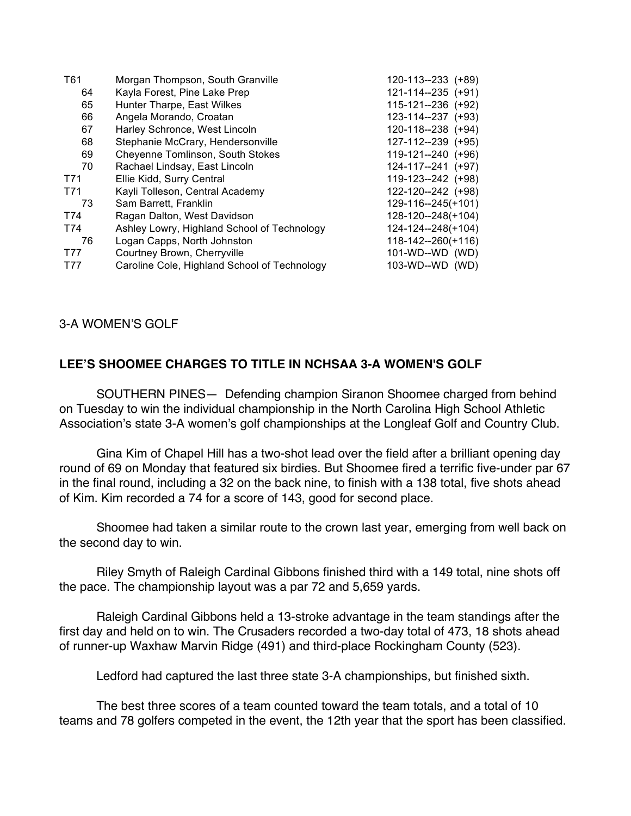| T61 | Morgan Thompson, South Granville             | 120-113--233 (+89) |
|-----|----------------------------------------------|--------------------|
| 64  | Kayla Forest, Pine Lake Prep                 | 121-114--235 (+91) |
| 65  | Hunter Tharpe, East Wilkes                   | 115-121--236 (+92) |
| 66  | Angela Morando, Croatan                      | 123-114--237 (+93) |
| 67  | Harley Schronce, West Lincoln                | 120-118--238 (+94) |
| 68  | Stephanie McCrary, Hendersonville            | 127-112--239 (+95) |
| 69  | Cheyenne Tomlinson, South Stokes             | 119-121--240 (+96) |
| 70  | Rachael Lindsay, East Lincoln                | 124-117--241 (+97) |
| T71 | Ellie Kidd, Surry Central                    | 119-123--242 (+98) |
| T71 | Kayli Tolleson, Central Academy              | 122-120--242 (+98) |
| 73  | Sam Barrett, Franklin                        | 129-116--245(+101) |
| T74 | Ragan Dalton, West Davidson                  | 128-120--248(+104) |
| T74 | Ashley Lowry, Highland School of Technology  | 124-124--248(+104) |
| 76  | Logan Capps, North Johnston                  | 118-142--260(+116) |
| T77 | Courtney Brown, Cherryville                  | 101-WD--WD (WD)    |
| T77 | Caroline Cole, Highland School of Technology | 103-WD--WD (WD)    |
|     |                                              |                    |

## 3-A WOMEN'S GOLF

## **LEE'S SHOOMEE CHARGES TO TITLE IN NCHSAA 3-A WOMEN'S GOLF**

SOUTHERN PINES— Defending champion Siranon Shoomee charged from behind on Tuesday to win the individual championship in the North Carolina High School Athletic Association's state 3-A women's golf championships at the Longleaf Golf and Country Club.

Gina Kim of Chapel Hill has a two-shot lead over the field after a brilliant opening day round of 69 on Monday that featured six birdies. But Shoomee fired a terrific five-under par 67 in the final round, including a 32 on the back nine, to finish with a 138 total, five shots ahead of Kim. Kim recorded a 74 for a score of 143, good for second place.

Shoomee had taken a similar route to the crown last year, emerging from well back on the second day to win.

Riley Smyth of Raleigh Cardinal Gibbons finished third with a 149 total, nine shots off the pace. The championship layout was a par 72 and 5,659 yards.

Raleigh Cardinal Gibbons held a 13-stroke advantage in the team standings after the first day and held on to win. The Crusaders recorded a two-day total of 473, 18 shots ahead of runner-up Waxhaw Marvin Ridge (491) and third-place Rockingham County (523).

Ledford had captured the last three state 3-A championships, but finished sixth.

The best three scores of a team counted toward the team totals, and a total of 10 teams and 78 golfers competed in the event, the 12th year that the sport has been classified.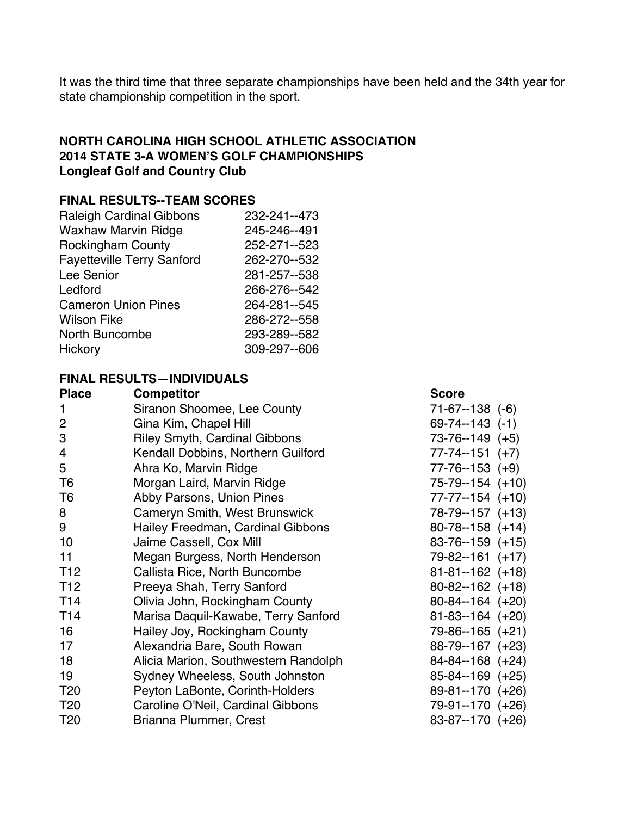It was the third time that three separate championships have been held and the 34th year for state championship competition in the sport.

# **NORTH CAROLINA HIGH SCHOOL ATHLETIC ASSOCIATION 2014 STATE 3-A WOMEN'S GOLF CHAMPIONSHIPS Longleaf Golf and Country Club**

## **FINAL RESULTS--TEAM SCORES**

| <b>Raleigh Cardinal Gibbons</b>   | 232-241--473 |
|-----------------------------------|--------------|
| <b>Waxhaw Marvin Ridge</b>        | 245-246--491 |
| <b>Rockingham County</b>          | 252-271--523 |
| <b>Fayetteville Terry Sanford</b> | 262-270--532 |
| Lee Senior                        | 281-257--538 |
| Ledford                           | 266-276--542 |
| <b>Cameron Union Pines</b>        | 264-281--545 |
| <b>Wilson Fike</b>                | 286-272--558 |
| North Buncombe                    | 293-289--582 |
| Hickory                           | 309-297--606 |

## **FINAL RESULTS—INDIVIDUALS**

| <b>Place</b>    | <b>Competitor</b>                    | <b>Score</b>          |
|-----------------|--------------------------------------|-----------------------|
|                 | Siranon Shoomee, Lee County          | $71-67-138$ $(-6)$    |
| $\overline{c}$  | Gina Kim, Chapel Hill                | $69-74-143$ $(-1)$    |
| 3               | <b>Riley Smyth, Cardinal Gibbons</b> | $73-76-149$ (+5)      |
| 4               | Kendall Dobbins, Northern Guilford   | $77 - 74 - 151$ (+7)  |
| 5               | Ahra Ko, Marvin Ridge                | $77 - 76 - 153$ (+9)  |
| T <sub>6</sub>  | Morgan Laird, Marvin Ridge           | 75-79--154 (+10)      |
| T <sub>6</sub>  | Abby Parsons, Union Pines            | $77 - 77 - 154$ (+10) |
| 8               | Cameryn Smith, West Brunswick        | 78-79--157 (+13)      |
| 9               | Hailey Freedman, Cardinal Gibbons    | $80-78-158 (+14)$     |
| 10              | Jaime Cassell, Cox Mill              | $83-76-159 (+15)$     |
| 11              | Megan Burgess, North Henderson       | $79 - 82 - 161 (+17)$ |
| T <sub>12</sub> | Callista Rice, North Buncombe        | $81 - 81 - 162$ (+18) |
| T <sub>12</sub> | Preeya Shah, Terry Sanford           | $80 - 82 - 162$ (+18) |
| T <sub>14</sub> | Olivia John, Rockingham County       | $80 - 84 - 164 (+20)$ |
| T <sub>14</sub> | Marisa Daquil-Kawabe, Terry Sanford  | $81 - 83 - 164$ (+20) |
| 16              | Hailey Joy, Rockingham County        | 79-86--165 (+21)      |
| 17              | Alexandria Bare, South Rowan         | 88-79--167 (+23)      |
| 18              | Alicia Marion, Southwestern Randolph | $84 - 84 - 168$ (+24) |
| 19              | Sydney Wheeless, South Johnston      | $85 - 84 - 169$ (+25) |
| T <sub>20</sub> | Peyton LaBonte, Corinth-Holders      | $89-81-170 (+26)$     |
| T <sub>20</sub> | Caroline O'Neil, Cardinal Gibbons    | 79-91--170 (+26)      |
| T <sub>20</sub> | Brianna Plummer, Crest               | 83-87--170 (+26)      |
|                 |                                      |                       |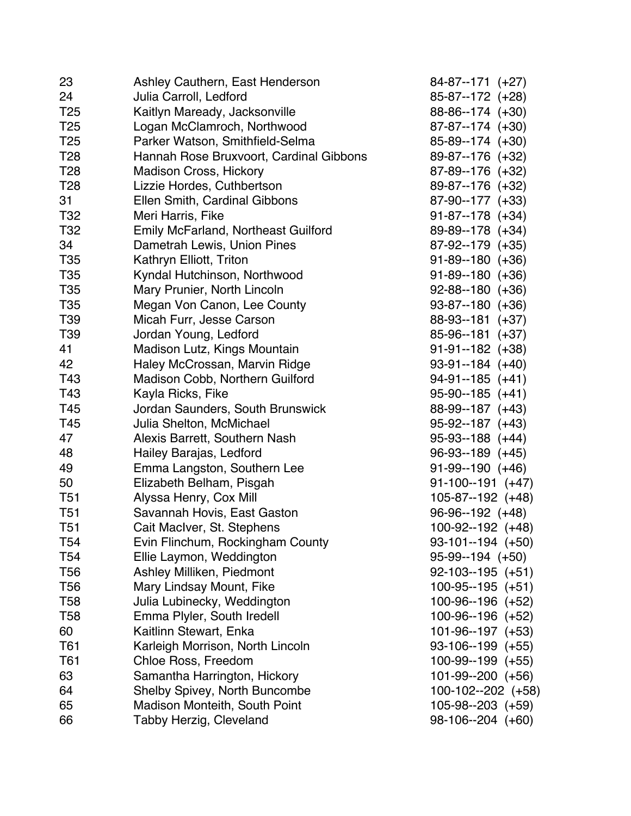| 23              | Ashley Cauthern, East Henderson         | $84-87-171 (+27)$     |
|-----------------|-----------------------------------------|-----------------------|
| 24              | Julia Carroll, Ledford                  | 85-87--172 (+28)      |
| T <sub>25</sub> | Kaitlyn Maready, Jacksonville           | 88-86--174 (+30)      |
| T <sub>25</sub> | Logan McClamroch, Northwood             | 87-87--174 (+30)      |
| T <sub>25</sub> | Parker Watson, Smithfield-Selma         | 85-89--174 (+30)      |
| T28             | Hannah Rose Bruxvoort, Cardinal Gibbons | 89-87--176 (+32)      |
| T <sub>28</sub> | <b>Madison Cross, Hickory</b>           | 87-89--176 (+32)      |
| T <sub>28</sub> | Lizzie Hordes, Cuthbertson              | 89-87--176 (+32)      |
| 31              | Ellen Smith, Cardinal Gibbons           | 87-90--177 (+33)      |
| T <sub>32</sub> | Meri Harris, Fike                       | $91-87-178 (+34)$     |
| T32             | Emily McFarland, Northeast Guilford     | 89-89--178 (+34)      |
| 34              | Dametrah Lewis, Union Pines             | 87-92--179 (+35)      |
| T35             | Kathryn Elliott, Triton                 | $91 - 89 - 180 (+36)$ |
| T35             | Kyndal Hutchinson, Northwood            | $91 - 89 - 180 (+36)$ |
| T35             | Mary Prunier, North Lincoln             | $92 - 88 - 180$ (+36) |
| T <sub>35</sub> | Megan Von Canon, Lee County             | 93-87--180 (+36)      |
| T39             | Micah Furr, Jesse Carson                | 88-93--181 (+37)      |
| T39             | Jordan Young, Ledford                   | 85-96--181 (+37)      |
| 41              | Madison Lutz, Kings Mountain            | $91-91-182$ (+38)     |
| 42              | Haley McCrossan, Marvin Ridge           | $93-91-184$ (+40)     |
| T43             | Madison Cobb, Northern Guilford         | $94-91-185 (+41)$     |
| T43             | Kayla Ricks, Fike                       | $95-90-185 (+41)$     |
| T45             | Jordan Saunders, South Brunswick        | 88-99--187 (+43)      |
| T45             | Julia Shelton, McMichael                | $95-92-187 (+43)$     |
| 47              | Alexis Barrett, Southern Nash           | $95-93-188 (+44)$     |
| 48              | Hailey Barajas, Ledford                 | $96-93-189 (+45)$     |
| 49              | Emma Langston, Southern Lee             | $91-99-190 (+46)$     |
| 50              | Elizabeth Belham, Pisgah                | $91-100-191$ (+47)    |
| T <sub>51</sub> | Alyssa Henry, Cox Mill                  | 105-87--192 (+48)     |
| T <sub>51</sub> | Savannah Hovis, East Gaston             | $96-96-192 (+48)$     |
| T <sub>51</sub> | Cait MacIver, St. Stephens              | $100-92-192 (+48)$    |
| T54             | Evin Flinchum, Rockingham County        | $93-101-194$ (+50)    |
| T <sub>54</sub> | Ellie Laymon, Weddington                | $95-99-194 (+50)$     |
| T56             | Ashley Milliken, Piedmont               | $92-103-195 (+51)$    |
| T <sub>56</sub> | Mary Lindsay Mount, Fike                | $100-95-195 (+51)$    |
| T <sub>58</sub> | Julia Lubinecky, Weddington             | 100-96--196 (+52)     |
| T58             | Emma Plyler, South Iredell              | 100-96--196 (+52)     |
| 60              | Kaitlinn Stewart, Enka                  | $101-96-197$ $(+53)$  |
| T61             | Karleigh Morrison, North Lincoln        | $93-106-199$ (+55)    |
| T61             | Chloe Ross, Freedom                     | 100-99--199 (+55)     |
| 63              | Samantha Harrington, Hickory            | $101-99-200 (+56)$    |
| 64              | <b>Shelby Spivey, North Buncombe</b>    | 100-102--202 (+58)    |
| 65              | Madison Monteith, South Point           | $105-98-203$ (+59)    |
| 66              | Tabby Herzig, Cleveland                 | $98-106-204$ $(+60)$  |
|                 |                                         |                       |